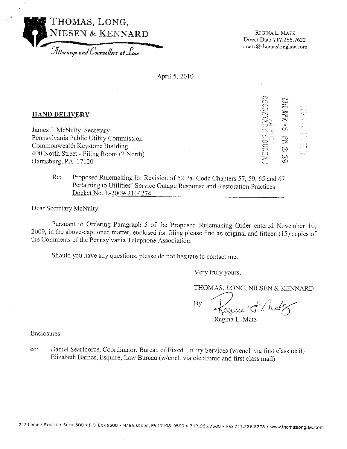

REGINA L. MATZ Direct Dial: 717.255.7622 rmatz@thomaslonglaw.com

April 5, 2010

| <b>HAND DELIVERY</b> |
|----------------------|
|                      |

James J. McNulty, Secretary Pennsylvania Public Utility Commission Commonwealth Keystone Building 400 North Street - Filing Room (2 North) Harrisburg, PA 17120

**SESSER** Ć.

Proposed Rulemaking for Revision of 52 Pa. Code Chapters 57, 59, 65 and 67 Re: Pertaining to Utilities' Service Outage Response and Restoration Practices Docket No. L-2009-2104274

Dear Secretary McNulty:

Pursuant to Ordering Paragraph 5 of the Proposed Rulemaking Order entered November 10, 2009, in the above-captioned matter, enclosed for filing please find an original and fifteen (15) copies of the Comments of the Pennsylvania Telephone Association.

Should you have any questions, please do not hesitate to contact me.

Very truly yours,

THOMAS, LONG, NIESEN & KENNARD

By

Regina L. Matz

Enclosures

Daniel Searfoorce, Coordinator, Bureau of Fixed Utility Services (w/encl. via first class mail)  $cc$ : Elizabeth Barnes, Esquire, Law Bureau (w/encl. via electronic and first class mail)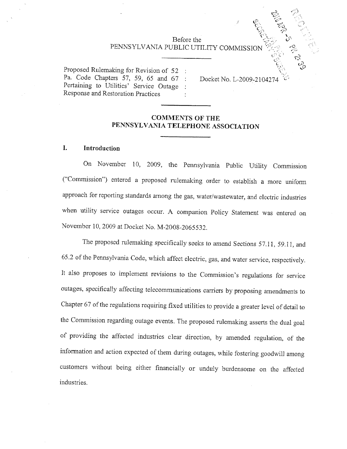# CRAIGE AND Before the PENNSYLVANIA PUBLIC UTILITY COMMISSION

Proposed Rulemaking for Revision of 52 : Pa. Code Chapters 57, 59, 65 and 67 : Pertaining to Utilities' Service Outage Response and Restoration Practices

Docket No. L-2009-210427

#### **COMMENTS OF THE** PENNSYLVANIA TELEPHONE ASSOCIATION

#### L Introduction

On November 10, 2009, the Pennsylvania Public Utility Commission ("Commission") entered a proposed rulemaking order to establish a more uniform approach for reporting standards among the gas, water/wastewater, and electric industries when utility service outages occur. A companion Policy Statement was entered on November 10, 2009 at Docket No. M-2008-2065532.

The proposed rulemaking specifically seeks to amend Sections 57.11, 59.11, and 65.2 of the Pennsylvania Code, which affect electric, gas, and water service, respectively. It also proposes to implement revisions to the Commission's regulations for service outages, specifically affecting telecommunications carriers by proposing amendments to Chapter 67 of the regulations requiring fixed utilities to provide a greater level of detail to the Commission regarding outage events. The proposed rulemaking asserts the dual goal of providing the affected industries clear direction, by amended regulation, of the information and action expected of them during outages, while fostering goodwill among customers without being either financially or unduly burdensome on the affected industries.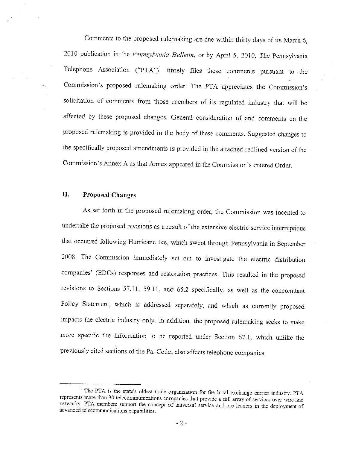Comments to the proposed rulemaking are due within thirty days of its March 6, 2010 publication in the Pennsylvania Bulletin, or by April 5, 2010. The Pennsylvania Telephone Association ("PTA")<sup>1</sup> timely files these comments pursuant to the Commission's proposed rulemaking order. The PTA appreciates the Commission's solicitation of comments from those members of its regulated industry that will be affected by these proposed changes. General consideration of and comments on the proposed rulemaking is provided in the body of these comments. Suggested changes to the specifically proposed amendments is provided in the attached redlined version of the Commission's Annex A as that Annex appeared in the Commission's entered Order.

#### II. **Proposed Changes**

As set forth in the proposed rulemaking order, the Commission was incented to undertake the proposed revisions as a result of the extensive electric service interruptions that occurred following Hurricane Ike, which swept through Pennsylvania in September 2008. The Commission immediately set out to investigate the electric distribution companies' (EDCs) responses and restoration practices. This resulted in the proposed revisions to Sections 57.11, 59.11, and 65.2 specifically, as well as the concomitant Policy Statement, which is addressed separately, and which as currently proposed impacts the electric industry only. In addition, the proposed rulemaking seeks to make more specific the information to be reported under Section 67.1, which unlike the previously cited sections of the Pa. Code, also affects telephone companies.

<sup>&</sup>lt;sup>1</sup> The PTA is the state's oldest trade organization for the local exchange carrier industry. PTA represents more than 30 telecommunications companies that provide a full array of services over wire line networks. PTA members support the concept of universal service and are leaders in the deployment of advanced telecommunications capabilities.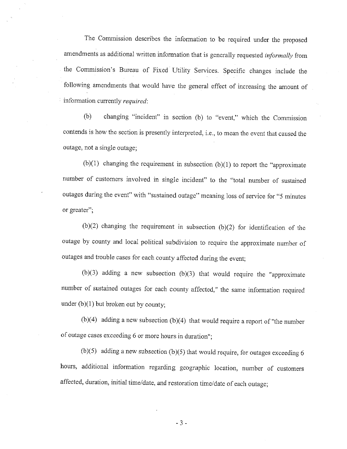The Commission describes the information to be required under the proposed amendments as additional written information that is generally requested *informally* from the Commission's Bureau of Fixed Utility Services. Specific changes include the following amendments that would have the general effect of increasing the amount of information currently required:

changing "incident" in section (b) to "event," which the Commission  $(b)$ contends is how the section is presently interpreted, i.e., to mean the event that caused the outage, not a single outage;

 $(b)(1)$  changing the requirement in subsection  $(b)(1)$  to report the "approximate" number of customers involved in single incident" to the "total number of sustained outages during the event" with "sustained outage" meaning loss of service for "5 minutes or greater":

 $(b)(2)$  changing the requirement in subsection  $(b)(2)$  for identification of the outage by county and local political subdivision to require the approximate number of outages and trouble cases for each county affected during the event;

(b)(3) adding a new subsection (b)(3) that would require the "approximate number of sustained outages for each county affected," the same information required under  $(b)(1)$  but broken out by county;

 $(b)(4)$  adding a new subsection  $(b)(4)$  that would require a report of "the number" of outage cases exceeding 6 or more hours in duration";

(b)(5) adding a new subsection (b)(5) that would require, for outages exceeding 6 hours, additional information regarding geographic location, number of customers affected, duration, initial time/date, and restoration time/date of each outage;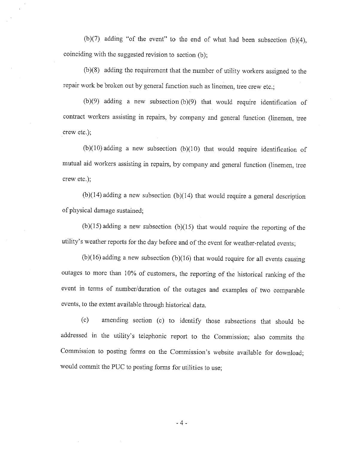(b)(7) adding "of the event" to the end of what had been subsection (b)(4), coinciding with the suggested revision to section (b);

 $(b)(8)$  adding the requirement that the number of utility workers assigned to the repair work be broken out by general function such as linemen, tree crew etc.;

 $(b)(9)$  adding a new subsection  $(b)(9)$  that would require identification of contract workers assisting in repairs, by company and general function (linemen, tree crew etc.);

 $(b)(10)$  adding a new subsection  $(b)(10)$  that would require identification of mutual aid workers assisting in repairs, by company and general function (linemen, tree crew etc.);

 $(b)(14)$  adding a new subsection  $(b)(14)$  that would require a general description of physical damage sustained;

 $(b)(15)$  adding a new subsection  $(b)(15)$  that would require the reporting of the utility's weather reports for the day before and of the event for weather-related events;

 $(b)(16)$  adding a new subsection (b)(16) that would require for all events causing outages to more than 10% of customers, the reporting of the historical ranking of the event in terms of number/duration of the outages and examples of two comparable events, to the extent available through historical data.

amending section (c) to identify those subsections that should be  $(c)$ addressed in the utility's telephonic report to the Commission; also commits the Commission to posting forms on the Commission's website available for download; would commit the PUC to posting forms for utilities to use;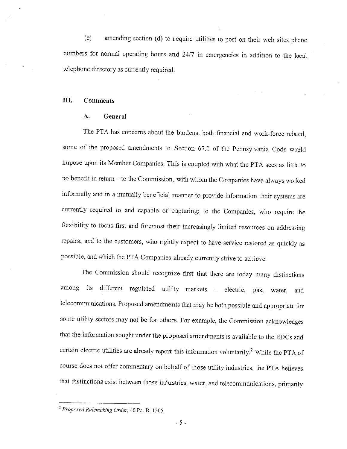amending section (d) to require utilities to post on their web sites phone  $(e)$ numbers for normal operating hours and 24/7 in emergencies in addition to the local telephone directory as currently required.

#### III. **Comments**

#### A. General

The PTA has concerns about the burdens, both financial and work-force related, some of the proposed amendments to Section 67.1 of the Pennsylvania Code would impose upon its Member Companies. This is coupled with what the PTA sees as little to no benefit in return - to the Commission, with whom the Companies have always worked informally and in a mutually beneficial manner to provide information their systems are currently required to and capable of capturing; to the Companies, who require the flexibility to focus first and foremost their increasingly limited resources on addressing repairs; and to the customers, who rightly expect to have service restored as quickly as possible, and which the PTA Companies already currently strive to achieve.

The Commission should recognize first that there are today many distinctions among its different regulated utility markets - electric, gas, water, and telecommunications. Proposed amendments that may be both possible and appropriate for some utility sectors may not be for others. For example, the Commission acknowledges that the information sought under the proposed amendments is available to the EDCs and certain electric utilities are already report this information voluntarily.<sup>2</sup> While the PTA of course does not offer commentary on behalf of those utility industries, the PTA believes that distinctions exist between those industries, water, and telecommunications, primarily

<sup>&</sup>lt;sup>2</sup> Proposed Rulemaking Order, 40 Pa. B. 1205.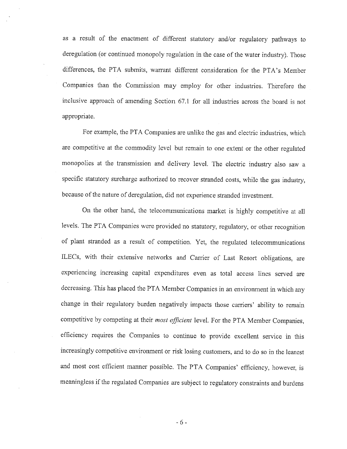as a result of the enactment of different statutory and/or regulatory pathways to deregulation (or continued monopoly regulation in the case of the water industry). Those differences, the PTA submits, warrant different consideration for the PTA's Member Companies than the Commission may employ for other industries. Therefore the inclusive approach of amending Section 67.1 for all industries across the board is not appropriate.

For example, the PTA Companies are unlike the gas and electric industries, which are competitive at the commodity level but remain to one extent or the other regulated monopolies at the transmission and delivery level. The electric industry also saw a specific statutory surcharge authorized to recover stranded costs, while the gas industry, because of the nature of deregulation, did not experience stranded investment.

On the other hand, the telecommunications market is highly competitive at all levels. The PTA Companies were provided no statutory, regulatory, or other recognition of plant stranded as a result of competition. Yet, the regulated telecommunications ILECs, with their extensive networks and Carrier of Last Resort obligations, are experiencing increasing capital expenditures even as total access lines served are decreasing. This has placed the PTA Member Companies in an environment in which any change in their regulatory burden negatively impacts those carriers' ability to remain competitive by competing at their most efficient level. For the PTA Member Companies, efficiency requires the Companies to continue to provide excellent service in this increasingly competitive environment or risk losing customers, and to do so in the leanest and most cost efficient manner possible. The PTA Companies' efficiency, however, is meaningless if the regulated Companies are subject to regulatory constraints and burdens

 $-6-$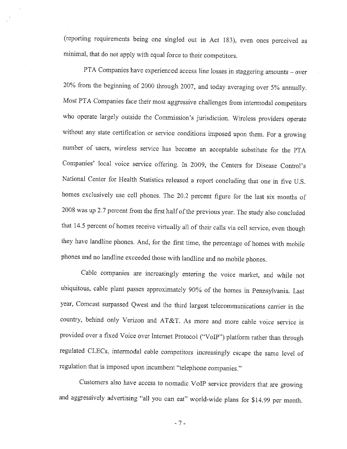(reporting requirements being one singled out in Act 183), even ones perceived as minimal, that do not apply with equal force to their competitors.

PTA Companies have experienced access line losses in staggering amounts - over 20% from the beginning of 2000 through 2007, and today averaging over 5% annually. Most PTA Companies face their most aggressive challenges from intermodal competitors who operate largely outside the Commission's jurisdiction. Wireless providers operate without any state certification or service conditions imposed upon them. For a growing number of users, wireless service has become an acceptable substitute for the PTA Companies' local voice service offering. In 2009, the Centers for Disease Control's National Center for Health Statistics released a report concluding that one in five U.S. homes exclusively use cell phones. The 20.2 percent figure for the last six months of 2008 was up 2.7 percent from the first half of the previous year. The study also concluded that 14.5 percent of homes receive virtually all of their calls via cell service, even though they have landline phones. And, for the first time, the percentage of homes with mobile phones and no landline exceeded those with landline and no mobile phones.

Cable companies are increasingly entering the voice market, and while not ubiquitous, cable plant passes approximately 90% of the homes in Pennsylvania. Last year, Comcast surpassed Qwest and the third largest telecommunications carrier in the country, behind only Verizon and AT&T. As more and more cable voice service is provided over a fixed Voice over Internet Protocol ("VoIP") platform rather than through regulated CLECs, intermodal cable competitors increasingly escape the same level of regulation that is imposed upon incumbent "telephone companies."

Customers also have access to nomadic VoIP service providers that are growing and aggressively advertising "all you can eat" world-wide plans for \$14.99 per month.

 $-7-$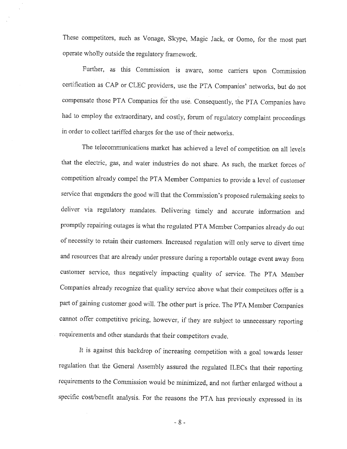These competitors, such as Vonage, Skype, Magic Jack, or Oomo, for the most part operate wholly outside the regulatory framework.

Further, as this Commission is aware, some carriers upon Commission certification as CAP or CLEC providers, use the PTA Companies' networks, but do not compensate those PTA Companies for the use. Consequently, the PTA Companies have had to employ the extraordinary, and costly, forum of regulatory complaint proceedings in order to collect tariffed charges for the use of their networks.

The telecommunications market has achieved a level of competition on all levels that the electric, gas, and water industries do not share. As such, the market forces of competition already compel the PTA Member Companies to provide a level of customer service that engenders the good will that the Commission's proposed rulemaking seeks to deliver via regulatory mandates. Delivering timely and accurate information and promptly repairing outages is what the regulated PTA Member Companies already do out of necessity to retain their customers. Increased regulation will only serve to divert time and resources that are already under pressure during a reportable outage event away from customer service, thus negatively impacting quality of service. The PTA Member Companies already recognize that quality service above what their competitors offer is a part of gaining customer good will. The other part is price. The PTA Member Companies cannot offer competitive pricing, however, if they are subject to unnecessary reporting requirements and other standards that their competitors evade.

It is against this backdrop of increasing competition with a goal towards lesser regulation that the General Assembly assured the regulated ILECs that their reporting requirements to the Commission would be minimized, and not further enlarged without a specific cost/benefit analysis. For the reasons the PTA has previously expressed in its

 $-8-$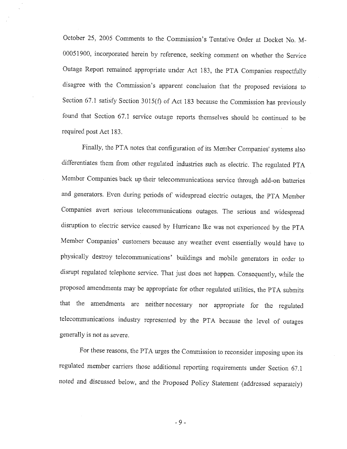October 25, 2005 Comments to the Commission's Tentative Order at Docket No. M-00051900, incorporated herein by reference, seeking comment on whether the Service Outage Report remained appropriate under Act 183, the PTA Companies respectfully disagree with the Commission's apparent conclusion that the proposed revisions to Section 67.1 satisfy Section 3015(f) of Act 183 because the Commission has previously found that Section 67.1 service outage reports themselves should be continued to be required post Act 183.

Finally, the PTA notes that configuration of its Member Companies' systems also differentiates them from other regulated industries such as electric. The regulated PTA Member Companies back up their telecommunications service through add-on batteries and generators. Even during periods of widespread electric outages, the PTA Member Companies avert serious telecommunications outages. The serious and widespread disruption to electric service caused by Hurricane Ike was not experienced by the PTA Member Companies' customers because any weather event essentially would have to physically destroy telecommunications' buildings and mobile generators in order to disrupt regulated telephone service. That just does not happen. Consequently, while the proposed amendments may be appropriate for other regulated utilities, the PTA submits that the amendments are neither necessary nor appropriate for the regulated telecommunications industry represented by the PTA because the level of outages generally is not as severe.

For these reasons, the PTA urges the Commission to reconsider imposing upon its regulated member carriers those additional reporting requirements under Section 67.1 noted and discussed below, and the Proposed Policy Statement (addressed separately)

 $-9-$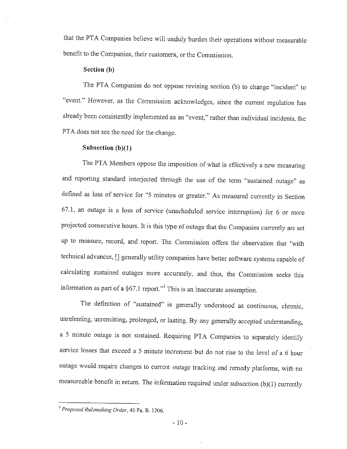that the PTA Companies believe will unduly burden their operations without measurable benefit to the Companies, their customers, or the Commission.

## Section (b)

The PTA Companies do not oppose revising section (b) to change "incident" to "event." However, as the Commission acknowledges, since the current regulation has already been consistently implemented as an "event," rather than individual incidents, the PTA does not see the need for the change.

## Subsection  $(b)(1)$

The PTA Members oppose the imposition of what is effectively a new measuring and reporting standard interjected through the use of the term "sustained outage" as defined as loss of service for "5 minutes or greater." As measured currently in Section 67.1, an outage is a loss of service (unscheduled service interruption) for 6 or more projected consecutive hours. It is this type of outage that the Companies currently are set up to measure, record, and report. The Commission offers the observation that "with technical advances, [] generally utility companies have better software systems capable of calculating sustained outages more accurately, and thus, the Commission seeks this information as part of a  $§67.1$  report."<sup>3</sup> This is an inaccurate assumption.

The definition of "sustained" is generally understood as continuous, chronic, unrelenting, unremitting, prolonged, or lasting. By any generally accepted understanding, a 5 minute outage is not sustained. Requiring PTA Companies to separately identify service losses that exceed a 5 minute increment but do not rise to the level of a 6 hour outage would require changes to current outage tracking and remedy platforms, with no measureable benefit in return. The information required under subsection  $(b)(1)$  currently

<sup>&</sup>lt;sup>3</sup> Proposed Rulemaking Order, 40 Pa. B. 1206.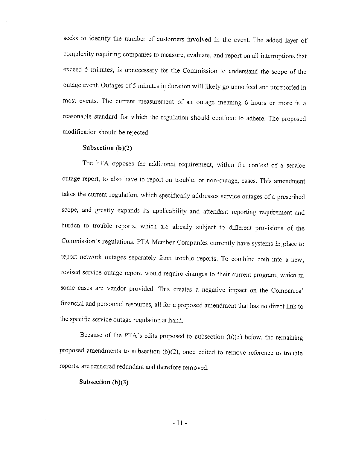seeks to identify the number of customers involved in the event. The added layer of complexity requiring companies to measure, evaluate, and report on all interruptions that exceed 5 minutes, is unnecessary for the Commission to understand the scope of the outage event. Outages of 5 minutes in duration will likely go unnoticed and unreported in most events. The current measurement of an outage meaning 6 hours or more is a reasonable standard for which the regulation should continue to adhere. The proposed modification should be rejected.

#### Subsection  $(b)(2)$

The PTA opposes the additional requirement, within the context of a service outage report, to also have to report on trouble, or non-outage, cases. This amendment takes the current regulation, which specifically addresses service outages of a prescribed scope, and greatly expands its applicability and attendant reporting requirement and burden to trouble reports, which are already subject to different provisions of the Commission's regulations. PTA Member Companies currently have systems in place to report network outages separately from trouble reports. To combine both into a new, revised service outage report, would require changes to their current program, which in some cases are vendor provided. This creates a negative impact on the Companies' financial and personnel resources, all for a proposed amendment that has no direct link to the specific service outage regulation at hand.

Because of the PTA's edits proposed to subsection  $(b)(3)$  below, the remaining proposed amendments to subsection  $(b)(2)$ , once edited to remove reference to trouble reports, are rendered redundant and therefore removed.

Subsection  $(b)(3)$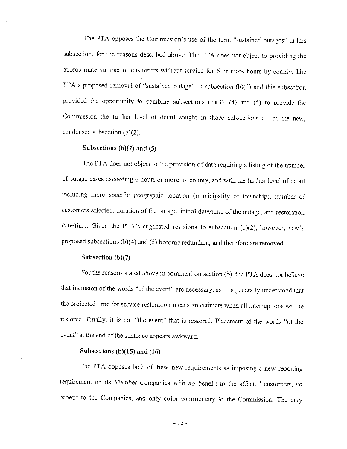The PTA opposes the Commission's use of the term "sustained outages" in this subsection, for the reasons described above. The PTA does not object to providing the approximate number of customers without service for 6 or more hours by county. The PTA's proposed removal of "sustained outage" in subsection  $(b)(1)$  and this subsection provided the opportunity to combine subsections (b)(3), (4) and (5) to provide the Commission the further level of detail sought in those subsections all in the new, condensed subsection  $(b)(2)$ .

#### Subsections  $(b)(4)$  and  $(5)$

The PTA does not object to the provision of data requiring a listing of the number of outage cases exceeding 6 hours or more by county, and with the further level of detail including more specific geographic location (municipality or township), number of customers affected, duration of the outage, initial date/time of the outage, and restoration date/time. Given the PTA's suggested revisions to subsection (b)(2), however, newly proposed subsections  $(b)(4)$  and  $(5)$  become redundant, and therefore are removed.

## Subsection  $(b)(7)$

For the reasons stated above in comment on section (b), the PTA does not believe that inclusion of the words "of the event" are necessary, as it is generally understood that the projected time for service restoration means an estimate when all interruptions will be restored. Finally, it is not "the event" that is restored. Placement of the words "of the event" at the end of the sentence appears awkward.

# Subsections (b) $(15)$  and  $(16)$

The PTA opposes both of these new requirements as imposing a new reporting requirement on its Member Companies with no benefit to the affected customers, no benefit to the Companies, and only color commentary to the Commission. The only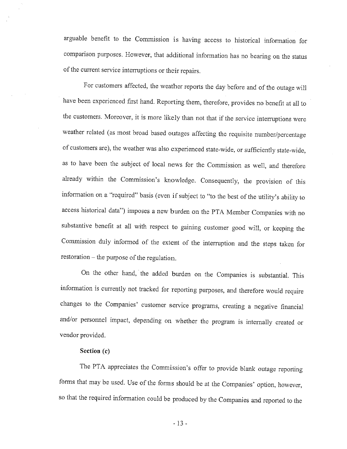arguable benefit to the Commission is having access to historical information for comparison purposes. However, that additional information has no bearing on the status of the current service interruptions or their repairs.

For customers affected, the weather reports the day before and of the outage will have been experienced first hand. Reporting them, therefore, provides no benefit at all to the customers. Moreover, it is more likely than not that if the service interruptions were weather related (as most broad based outages affecting the requisite number/percentage of customers are), the weather was also experienced state-wide, or sufficiently state-wide, as to have been the subject of local news for the Commission as well, and therefore already within the Commission's knowledge. Consequently, the provision of this information on a "required" basis (even if subject to "to the best of the utility's ability to access historical data") imposes a new burden on the PTA Member Companies with no substantive benefit at all with respect to gaining customer good will, or keeping the Commission duly informed of the extent of the interruption and the steps taken for restoration – the purpose of the regulation.

On the other hand, the added burden on the Companies is substantial. This information is currently not tracked for reporting purposes, and therefore would require changes to the Companies' customer service programs, creating a negative financial and/or personnel impact, depending on whether the program is internally created or vendor provided.

#### Section (c)

The PTA appreciates the Commission's offer to provide blank outage reporting forms that may be used. Use of the forms should be at the Companies' option, however, so that the required information could be produced by the Companies and reported to the

 $-13-$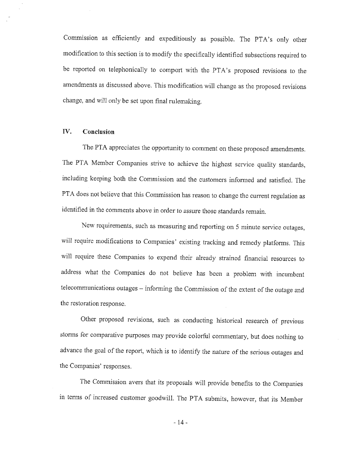Commission as efficiently and expeditiously as possible. The PTA's only other modification to this section is to modify the specifically identified subsections required to be reported on telephonically to comport with the PTA's proposed revisions to the amendments as discussed above. This modification will change as the proposed revisions change, and will only be set upon final rulemaking.

#### IV. Conclusion

The PTA appreciates the opportunity to comment on these proposed amendments. The PTA Member Companies strive to achieve the highest service quality standards, including keeping both the Commission and the customers informed and satisfied. The PTA does not believe that this Commission has reason to change the current regulation as identified in the comments above in order to assure those standards remain.

New requirements, such as measuring and reporting on 5 minute service outages, will require modifications to Companies' existing tracking and remedy platforms. This will require these Companies to expend their already strained financial resources to address what the Companies do not believe has been a problem with incumbent telecommunications outages - informing the Commission of the extent of the outage and the restoration response.

Other proposed revisions, such as conducting historical research of previous storms for comparative purposes may provide colorful commentary, but does nothing to advance the goal of the report, which is to identify the nature of the serious outages and the Companies' responses.

The Commission avers that its proposals will provide benefits to the Companies in terms of increased customer goodwill. The PTA submits, however, that its Member

 $-14-$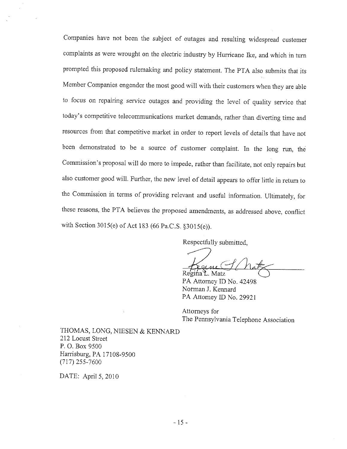Companies have not been the subject of outages and resulting widespread customer complaints as were wrought on the electric industry by Hurricane Ike, and which in turn prompted this proposed rulemaking and policy statement. The PTA also submits that its Member Companies engender the most good will with their customers when they are able to focus on repairing service outages and providing the level of quality service that today's competitive telecommunications market demands, rather than diverting time and resources from that competitive market in order to report levels of details that have not been demonstrated to be a source of customer complaint. In the long run, the Commission's proposal will do more to impede, rather than facilitate, not only repairs but also customer good will. Further, the new level of detail appears to offer little in return to the Commission in terms of providing relevant and useful information. Ultimately, for these reasons, the PTA believes the proposed amendments, as addressed above, conflict with Section 3015(e) of Act 183 (66 Pa.C.S. §3015(e)).

Respectfully submitted,

Regina L. Matz

PA Attorney ID No. 42498 Norman J. Kennard PA Attorney ID No. 29921

Attorneys for The Pennsylvania Telephone Association

THOMAS, LONG, NIESEN & KENNARD 212 Locust Street P.O. Box 9500 Harrisburg, PA 17108-9500  $(717)$  255-7600

DATE: April 5, 2010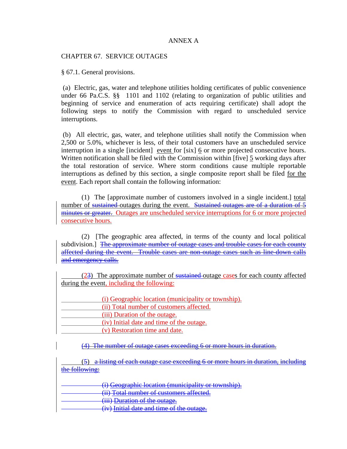# ANNEX A

CHAPTER 67. SERVICE OUTAGES

§ 67.1. General provisions.

 (a) Electric, gas, water and telephone utilities holding certificates of public convenience under 66 Pa.C.S. §§ 1101 and 1102 (relating to organization of public utilities and beginning of service and enumeration of acts requiring certificate) shall adopt the following steps to notify the Commission with regard to unscheduled service interruptions.

 (b) All electric, gas, water, and telephone utilities shall notify the Commission when 2,500 or 5.0%, whichever is less, of their total customers have an unscheduled service interruption in a single [incident] event for [six] 6 or more projected consecutive hours. Written notification shall be filed with the Commission within [five] 5 working days after the total restoration of service. Where storm conditions cause multiple reportable interruptions as defined by this section, a single composite report shall be filed for the event. Each report shall contain the following information:

 (1) The [approximate number of customers involved in a single incident.] total number of sustained outages during the event. Sustained outages are of a duration of 5 minutes or greater. Outages are unscheduled service interruptions for 6 or more projected consecutive hours.

 (2) [The geographic area affected, in terms of the county and local political subdivision.] The approximate number of outage cases and trouble cases for each county affected during the event. Trouble cases are non-outage cases such as line-down calls and emergency calls.

 (23) The approximate number of sustained outage cases for each county affected during the event, including the following:

| (i) Geographic location (municipality or township). |
|-----------------------------------------------------|
| (ii) Total number of customers affected.            |
| (iii) Duration of the outage.                       |
| (iv) Initial date and time of the outage.           |
| (v) Restoration time and date.                      |

(4) The number of outage cases exceeding 6 or more hours in duration.

 (5) a listing of each outage case exceeding 6 or more hours in duration, including the following:

(i) Geographic location (municipality or township). (ii) Total number of customers affected. (iii) Duration of the outage.

(iv) Initial date and time of the outage.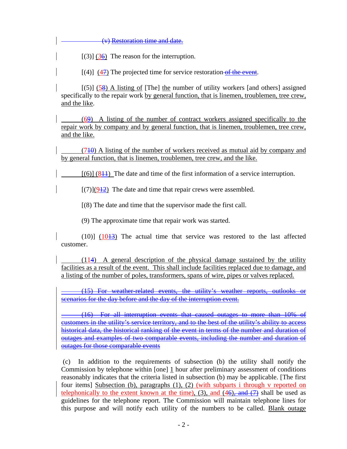(v) Restoration time and date.

 $[(3)]$  (36) The reason for the interruption.

 $[(4)]$  (47) The projected time for service restoration of the event.

 $[(5)]$  (58) A listing of [The] the number of utility workers [and others] assigned specifically to the repair work by general function, that is linemen, troublemen, tree crew, and the like.

 (69) A listing of the number of contract workers assigned specifically to the repair work by company and by general function, that is linemen, troublemen, tree crew, and the like.

 (710) A listing of the number of workers received as mutual aid by company and by general function, that is linemen, troublemen, tree crew, and the like.

 $[(6)]$   $(81)$  The date and time of the first information of a service interruption.

 $[(7)](912)$  The date and time that repair crews were assembled.

[(8) The date and time that the supervisor made the first call.

(9) The approximate time that repair work was started.

 $(10)$ ]  $(10<sup>13</sup>)$  The actual time that service was restored to the last affected customer.

 (114) A general description of the physical damage sustained by the utility facilities as a result of the event. This shall include facilities replaced due to damage, and a listing of the number of poles, transformers, spans of wire, pipes or valves replaced.

(15) For weather-related events, the utility's weather reports, outlooks or scenarios for the day before and the day of the interruption event.

(16) For all interruption events that caused outages to more than 10% of customers in the utility's service territory, and to the best of the utility's ability to access historical data, the historical ranking of the event in terms of the number and duration of outages and examples of two comparable events, including the number and duration of outages for those comparable events

 (c) In addition to the requirements of subsection (b) the utility shall notify the Commission by telephone within [one] 1 hour after preliminary assessment of conditions reasonably indicates that the criteria listed in subsection (b) may be applicable. [The first four items] Subsection (b), paragraphs (1), (2) (with subparts i through v reported on telephonically to the extent known at the time), (3), and  $(46)$ , and  $(7)$  shall be used as guidelines for the telephone report. The Commission will maintain telephone lines for this purpose and will notify each utility of the numbers to be called. Blank outage